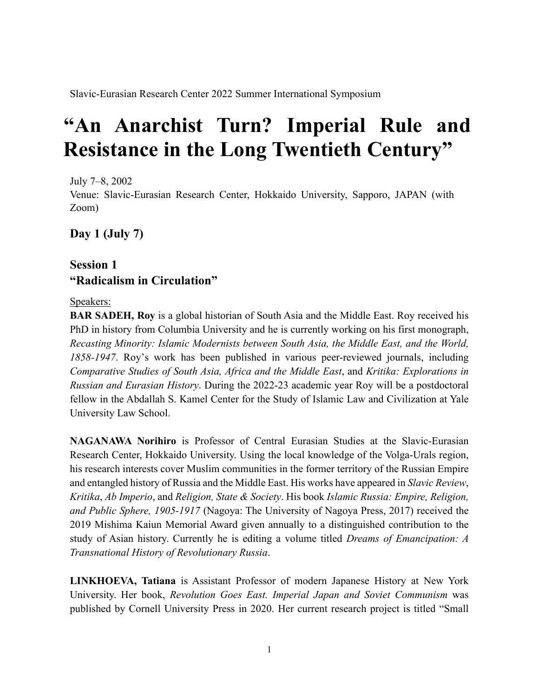Slavic-Eurasian Research Center 2022 Summer International Symposium

# **"An Anarchist Turn? Imperial Rule and Resistance in the Long Twentieth Century"**

July 7–8, 2002

Venue: Slavic-Eurasian Research Center, Hokkaido University, Sapporo, JAPAN (with Zoom)

**Day 1 (July 7)** 

# **Session 1 "Radicalism in Circulation"**

## Speakers:

**BAR SADEH, Roy** is a global historian of South Asia and the Middle East. Roy received his PhD in history from Columbia University and he is currently working on his first monograph, *Recasting Minority: Islamic Modernists between South Asia, the Middle East, and the World, 1858-1947*. Roy's work has been published in various peer-reviewed journals, including *Comparative Studies of South Asia, Africa and the Middle East*, and *Kritika: Explorations in Russian and Eurasian History*. During the 2022-23 academic year Roy will be a postdoctoral fellow in the Abdallah S. Kamel Center for the Study of Islamic Law and Civilization at Yale University Law School.

**NAGANAWA Norihiro** is Professor of Central Eurasian Studies at the Slavic-Eurasian Research Center, Hokkaido University. Using the local knowledge of the Volga-Urals region, his research interests cover Muslim communities in the former territory of the Russian Empire and entangled history of Russia and the Middle East. His works have appeared in *Slavic Review*, *Kritika*, *Ab Imperio*, and *Religion, State & Society*. His book *Islamic Russia: Empire, Religion, and Public Sphere, 1905-1917* (Nagoya: The University of Nagoya Press, 2017) received the 2019 Mishima Kaiun Memorial Award given annually to a distinguished contribution to the study of Asian history. Currently he is editing a volume titled *Dreams of Emancipation: A Transnational History of Revolutionary Russia*.

**LINKHOEVA, Tatiana** is Assistant Professor of modern Japanese History at New York University. Her book, *Revolution Goes East. Imperial Japan and Soviet Communism* was published by Cornell University Press in 2020. Her current research project is titled "Small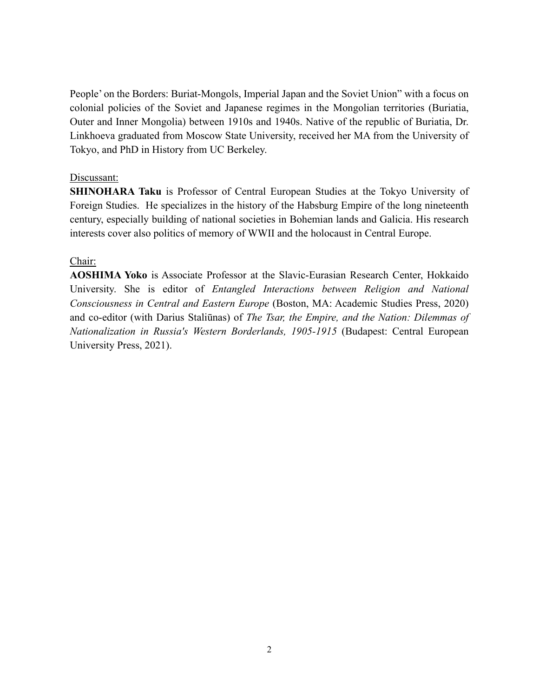People' on the Borders: Buriat-Mongols, Imperial Japan and the Soviet Union" with a focus on colonial policies of the Soviet and Japanese regimes in the Mongolian territories (Buriatia, Outer and Inner Mongolia) between 1910s and 1940s. Native of the republic of Buriatia, Dr. Linkhoeva graduated from Moscow State University, received her MA from the University of Tokyo, and PhD in History from UC Berkeley.

#### Discussant:

**SHINOHARA Taku** is Professor of Central European Studies at the Tokyo University of Foreign Studies. He specializes in the history of the Habsburg Empire of the long nineteenth century, especially building of national societies in Bohemian lands and Galicia. His research interests cover also politics of memory of WWII and the holocaust in Central Europe.

# Chair:

**AOSHIMA Yoko** is Associate Professor at the Slavic-Eurasian Research Center, Hokkaido University. She is editor of *Entangled Interactions between Religion and National Consciousness in Central and Eastern Europe* (Boston, MA: Academic Studies Press, 2020) and co-editor (with Darius Staliūnas) of *The Tsar, the Empire, and the Nation: Dilemmas of Nationalization in Russia's Western Borderlands, 1905-1915* (Budapest: Central European University Press, 2021).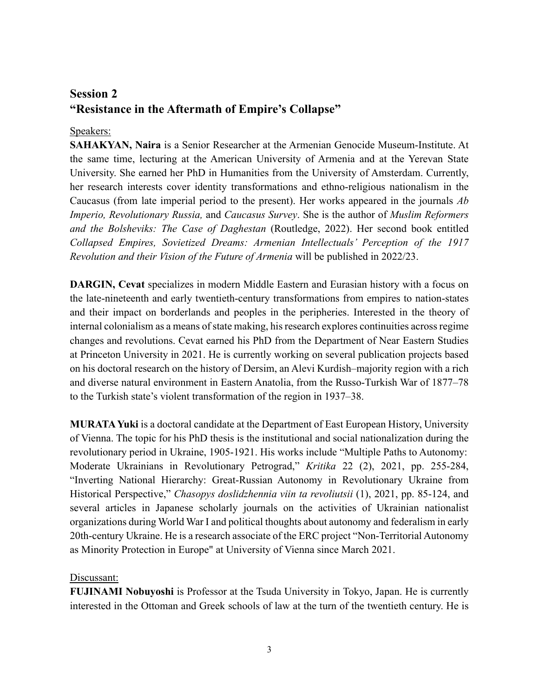# **Session 2 "Resistance in the Aftermath of Empire's Collapse"**

## Speakers:

**SAHAKYAN, Naira** is a Senior Researcher at the Armenian Genocide Museum-Institute. At the same time, lecturing at the American University of Armenia and at the Yerevan State University. She earned her PhD in Humanities from the University of Amsterdam. Currently, her research interests cover identity transformations and ethno-religious nationalism in the Caucasus (from late imperial period to the present). Her works appeared in the journals *Ab Imperio, Revolutionary Russia,* and *Caucasus Survey*. She is the author of *Muslim Reformers and the Bolsheviks: The Case of Daghestan* (Routledge, 2022). Her second book entitled *Collapsed Empires, Sovietized Dreams: Armenian Intellectuals' Perception of the 1917 Revolution and their Vision of the Future of Armenia* will be published in 2022/23.

**DARGIN, Cevat** specializes in modern Middle Eastern and Eurasian history with a focus on the late-nineteenth and early twentieth-century transformations from empires to nation-states and their impact on borderlands and peoples in the peripheries. Interested in the theory of internal colonialism as a means of state making, his research explores continuities across regime changes and revolutions. Cevat earned his PhD from the Department of Near Eastern Studies at Princeton University in 2021. He is currently working on several publication projects based on his doctoral research on the history of Dersim, an Alevi Kurdish–majority region with a rich and diverse natural environment in Eastern Anatolia, from the Russo-Turkish War of 1877–78 to the Turkish state's violent transformation of the region in 1937–38.

**MURATA Yuki** is a doctoral candidate at the Department of East European History, University of Vienna. The topic for his PhD thesis is the institutional and social nationalization during the revolutionary period in Ukraine, 1905-1921. His works include "Multiple Paths to Autonomy: Moderate Ukrainians in Revolutionary Petrograd," *Kritika* 22 (2), 2021, pp. 255-284, "Inverting National Hierarchy: Great-Russian Autonomy in Revolutionary Ukraine from Historical Perspective," *Chasopys doslidzhennia viin ta revoliutsii* (1), 2021, pp. 85-124, and several articles in Japanese scholarly journals on the activities of Ukrainian nationalist organizations during World War I and political thoughts about autonomy and federalism in early 20th-century Ukraine. He is a research associate of the ERC project "Non-Territorial Autonomy as Minority Protection in Europe" at University of Vienna since March 2021.

Discussant:

**FUJINAMI Nobuyoshi** is Professor at the Tsuda University in Tokyo, Japan. He is currently interested in the Ottoman and Greek schools of law at the turn of the twentieth century. He is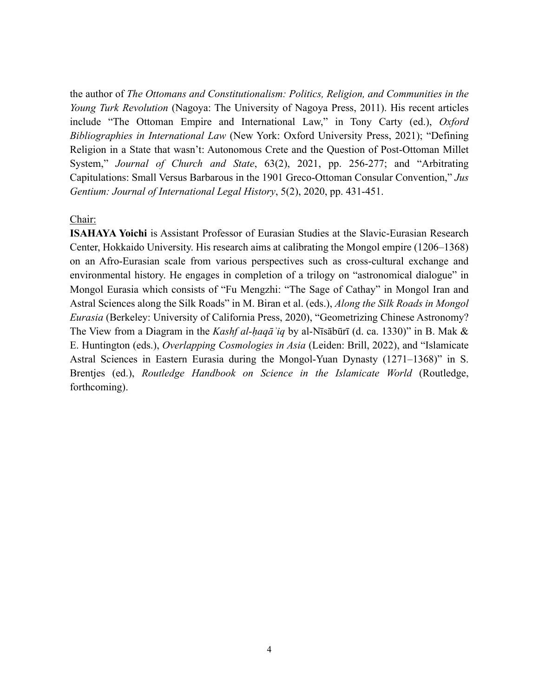the author of *The Ottomans and Constitutionalism: Politics, Religion, and Communities in the Young Turk Revolution* (Nagoya: The University of Nagoya Press, 2011). His recent articles include "The Ottoman Empire and International Law," in Tony Carty (ed.), *Oxford Bibliographies in International Law* (New York: Oxford University Press, 2021); "Defining Religion in a State that wasn't: Autonomous Crete and the Question of Post-Ottoman Millet System," *Journal of Church and State*, 63(2), 2021, pp. 256-277; and "Arbitrating Capitulations: Small Versus Barbarous in the 1901 Greco-Ottoman Consular Convention," *Jus Gentium: Journal of International Legal History*, 5(2), 2020, pp. 431-451.

#### Chair:

**ISAHAYA Yoichi** is Assistant Professor of Eurasian Studies at the Slavic-Eurasian Research Center, Hokkaido University. His research aims at calibrating the Mongol empire (1206–1368) on an Afro-Eurasian scale from various perspectives such as cross-cultural exchange and environmental history. He engages in completion of a trilogy on "astronomical dialogue" in Mongol Eurasia which consists of "Fu Mengzhi: "The Sage of Cathay" in Mongol Iran and Astral Sciences along the Silk Roads" in M. Biran et al. (eds.), *Along the Silk Roads in Mongol Eurasia* (Berkeley: University of California Press, 2020), "Geometrizing Chinese Astronomy? The View from a Diagram in the *Kashf al-ḥaqāʾiq* by al-Nīsābūrī (d. ca. 1330)" in B. Mak & E. Huntington (eds.), *Overlapping Cosmologies in Asia* (Leiden: Brill, 2022), and "Islamicate Astral Sciences in Eastern Eurasia during the Mongol-Yuan Dynasty (1271–1368)" in S. Brentjes (ed.), *Routledge Handbook on Science in the Islamicate World* (Routledge, forthcoming).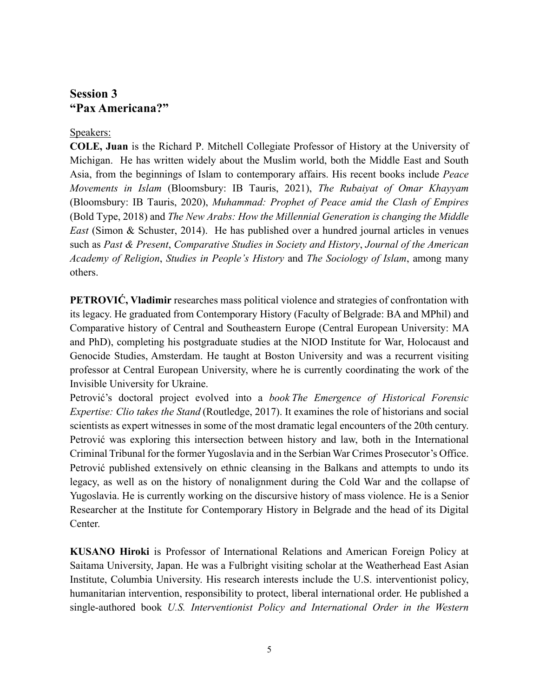# **Session 3 "Pax Americana?"**

## Speakers:

**COLE, Juan** is the Richard P. Mitchell Collegiate Professor of History at the University of Michigan. He has written widely about the Muslim world, both the Middle East and South Asia, from the beginnings of Islam to contemporary affairs. His recent books include *Peace Movements in Islam* (Bloomsbury: IB Tauris, 2021), *The Rubaiyat of Omar Khayyam* (Bloomsbury: IB Tauris, 2020), *Muhammad: Prophet of Peace amid the Clash of Empires* (Bold Type, 2018) and *The New Arabs: How the Millennial Generation is changing the Middle East* (Simon & Schuster, 2014). He has published over a hundred journal articles in venues such as *Past & Present*, *Comparative Studies in Society and History*, *Journal of the American Academy of Religion*, *Studies in People's History* and *The Sociology of Islam*, among many others.

**PETROVIĆ, Vladimir** researches mass political violence and strategies of confrontation with its legacy. He graduated from Contemporary History (Faculty of Belgrade: BA and MPhil) and Comparative history of Central and Southeastern Europe (Central European University: MA and PhD), completing his postgraduate studies at the NIOD Institute for War, Holocaust and Genocide Studies, Amsterdam. He taught at Boston University and was a recurrent visiting professor at Central European University, where he is currently coordinating the work of the Invisible University for Ukraine.

Petrović's doctoral project evolved into a *book The Emergence of Historical Forensic Expertise: Clio takes the Stand*(Routledge, 2017). It examines the role of historians and social scientists as expert witnesses in some of the most dramatic legal encounters of the 20th century. Petrović was exploring this intersection between history and law, both in the International Criminal Tribunal for the former Yugoslavia and in the Serbian War Crimes Prosecutor's Office. Petrović published extensively on ethnic cleansing in the Balkans and attempts to undo its legacy, as well as on the history of nonalignment during the Cold War and the collapse of Yugoslavia. He is currently working on the discursive history of mass violence. He is a Senior Researcher at the Institute for Contemporary History in Belgrade and the head of its Digital Center.

**KUSANO Hiroki** is Professor of International Relations and American Foreign Policy at Saitama University, Japan. He was a Fulbright visiting scholar at the Weatherhead East Asian Institute, Columbia University. His research interests include the U.S. interventionist policy, humanitarian intervention, responsibility to protect, liberal international order. He published a single-authored book *U.S. Interventionist Policy and International Order in the Western*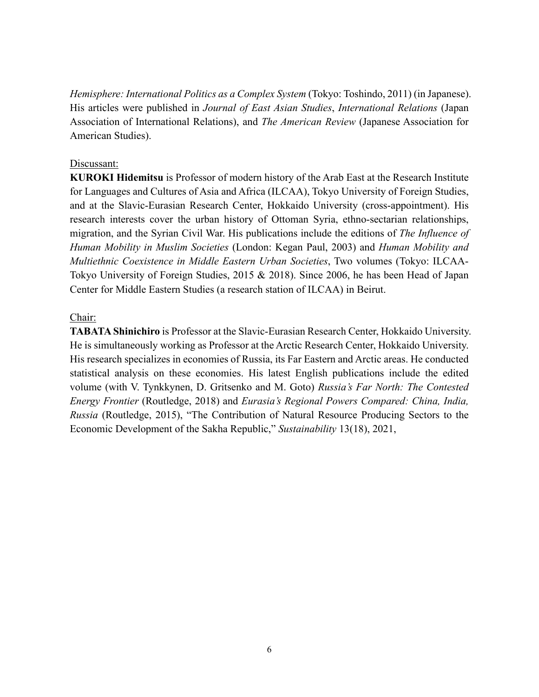*Hemisphere: International Politics as a Complex System* (Tokyo: Toshindo, 2011) (in Japanese). His articles were published in *Journal of East Asian Studies*, *International Relations* (Japan Association of International Relations), and *The American Review* (Japanese Association for American Studies).

#### Discussant:

**KUROKI Hidemitsu** is Professor of modern history of the Arab East at the Research Institute for Languages and Cultures of Asia and Africa (ILCAA), Tokyo University of Foreign Studies, and at the Slavic-Eurasian Research Center, Hokkaido University (cross-appointment). His research interests cover the urban history of Ottoman Syria, ethno-sectarian relationships, migration, and the Syrian Civil War. His publications include the editions of *The Influence of Human Mobility in Muslim Societies* (London: Kegan Paul, 2003) and *Human Mobility and Multiethnic Coexistence in Middle Eastern Urban Societies*, Two volumes (Tokyo: ILCAA-Tokyo University of Foreign Studies, 2015 & 2018). Since 2006, he has been Head of Japan Center for Middle Eastern Studies (a research station of ILCAA) in Beirut.

## Chair:

**TABATA Shinichiro** is Professor at the Slavic-Eurasian Research Center, Hokkaido University. He is simultaneously working as Professor at the Arctic Research Center, Hokkaido University. His research specializes in economies of Russia, its Far Eastern and Arctic areas. He conducted statistical analysis on these economies. His latest English publications include the edited volume (with V. Tynkkynen, D. Gritsenko and M. Goto) *Russia's Far North: The Contested Energy Frontier* (Routledge, 2018) and *Eurasia's Regional Powers Compared: China, India, Russia* (Routledge, 2015), "The Contribution of Natural Resource Producing Sectors to the Economic Development of the Sakha Republic," *Sustainability* 13(18), 2021,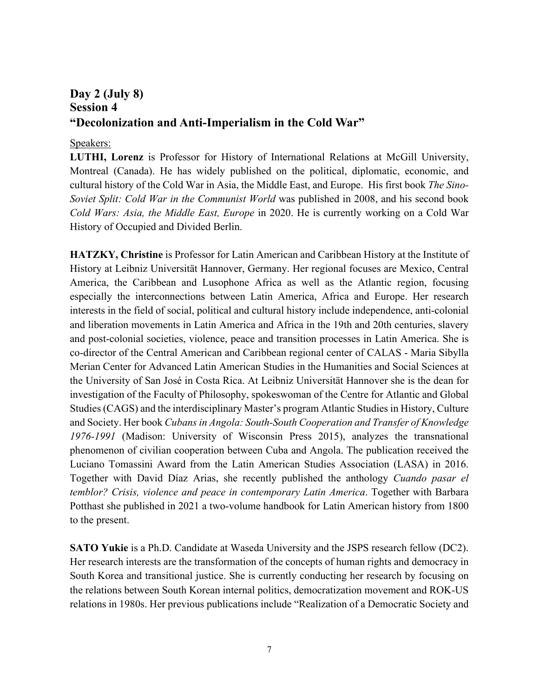# **Day 2 (July 8) Session 4 "Decolonization and Anti-Imperialism in the Cold War"**

#### Speakers:

**LUTHI, Lorenz** is Professor for History of International Relations at McGill University, Montreal (Canada). He has widely published on the political, diplomatic, economic, and cultural history of the Cold War in Asia, the Middle East, and Europe. His first book *The Sino-Soviet Split: Cold War in the Communist World* was published in 2008, and his second book *Cold Wars: Asia, the Middle East, Europe* in 2020. He is currently working on a Cold War History of Occupied and Divided Berlin.

**HATZKY, Christine** is Professor for Latin American and Caribbean History at the Institute of History at Leibniz Universität Hannover, Germany. Her regional focuses are Mexico, Central America, the Caribbean and Lusophone Africa as well as the Atlantic region, focusing especially the interconnections between Latin America, Africa and Europe. Her research interests in the field of social, political and cultural history include independence, anti-colonial and liberation movements in Latin America and Africa in the 19th and 20th centuries, slavery and post-colonial societies, violence, peace and transition processes in Latin America. She is co-director of the Central American and Caribbean regional center of CALAS - Maria Sibylla Merian Center for Advanced Latin American Studies in the Humanities and Social Sciences at the University of San José in Costa Rica. At Leibniz Universität Hannover she is the dean for investigation of the Faculty of Philosophy, spokeswoman of the Centre for Atlantic and Global Studies (CAGS) and the interdisciplinary Master's program Atlantic Studies in History, Culture and Society. Her book *Cubans in Angola: South-South Cooperation and Transfer of Knowledge 1976-1991* (Madison: University of Wisconsin Press 2015), analyzes the transnational phenomenon of civilian cooperation between Cuba and Angola. The publication received the Luciano Tomassini Award from the Latin American Studies Association (LASA) in 2016. Together with David Díaz Arias, she recently published the anthology *Cuando pasar el temblor? Crisis, violence and peace in contemporary Latin America*. Together with Barbara Potthast she published in 2021 a two-volume handbook for Latin American history from 1800 to the present.

**SATO Yukie** is a Ph.D. Candidate at Waseda University and the JSPS research fellow (DC2). Her research interests are the transformation of the concepts of human rights and democracy in South Korea and transitional justice. She is currently conducting her research by focusing on the relations between South Korean internal politics, democratization movement and ROK-US relations in 1980s. Her previous publications include "Realization of a Democratic Society and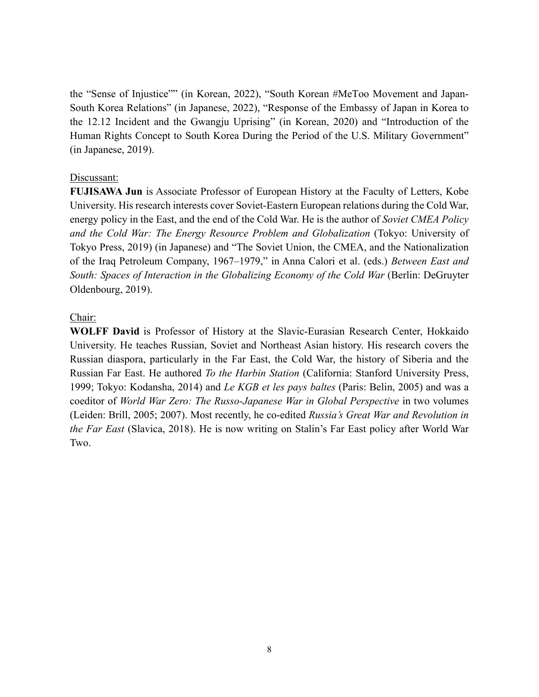the "Sense of Injustice"" (in Korean, 2022), "South Korean #MeToo Movement and Japan-South Korea Relations" (in Japanese, 2022), "Response of the Embassy of Japan in Korea to the 12.12 Incident and the Gwangju Uprising" (in Korean, 2020) and "Introduction of the Human Rights Concept to South Korea During the Period of the U.S. Military Government" (in Japanese, 2019).

#### Discussant:

**FUJISAWA Jun** is Associate Professor of European History at the Faculty of Letters, Kobe University. His research interests cover Soviet-Eastern European relations during the Cold War, energy policy in the East, and the end of the Cold War. He is the author of *Soviet CMEA Policy and the Cold War: The Energy Resource Problem and Globalization* (Tokyo: University of Tokyo Press, 2019) (in Japanese) and "The Soviet Union, the CMEA, and the Nationalization of the Iraq Petroleum Company, 1967–1979," in Anna Calori et al. (eds.) *Between East and South: Spaces of Interaction in the Globalizing Economy of the Cold War* (Berlin: DeGruyter Oldenbourg, 2019).

# Chair:

**WOLFF David** is Professor of History at the Slavic-Eurasian Research Center, Hokkaido University. He teaches Russian, Soviet and Northeast Asian history. His research covers the Russian diaspora, particularly in the Far East, the Cold War, the history of Siberia and the Russian Far East. He authored *To the Harbin Station* (California: Stanford University Press, 1999; Tokyo: Kodansha, 2014) and *Le KGB et les pays baltes* (Paris: Belin, 2005) and was a coeditor of World War Zero: The Russo-Japanese War in Global Perspective in two volumes (Leiden: Brill, 2005; 2007). Most recently, he co-edited *Russia's Great War and Revolution in the Far East* (Slavica, 2018). He is now writing on Stalin's Far East policy after World War Two.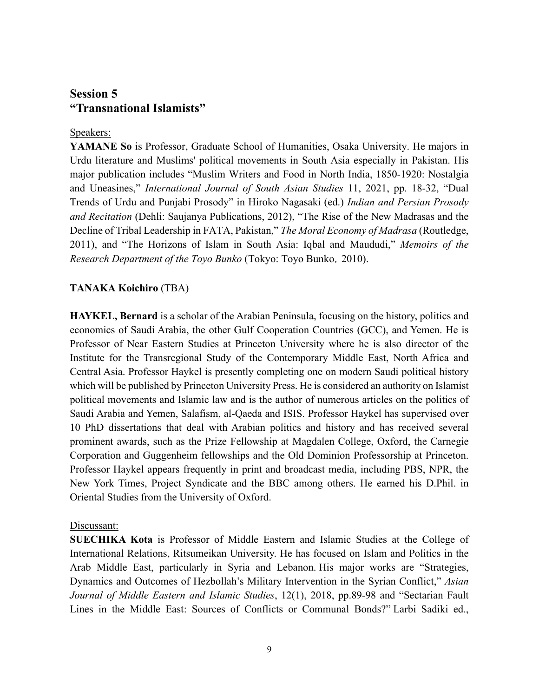# **Session 5 "Transnational Islamists"**

#### Speakers:

**YAMANE So** is Professor, Graduate School of Humanities, Osaka University. He majors in Urdu literature and Muslims' political movements in South Asia especially in Pakistan. His major publication includes "Muslim Writers and Food in North India, 1850-1920: Nostalgia and Uneasines," *International Journal of South Asian Studies* 11, 2021, pp. 18-32, "Dual Trends of Urdu and Punjabi Prosody" in Hiroko Nagasaki (ed.) *Indian and Persian Prosody and Recitation* (Dehli: Saujanya Publications, 2012), "The Rise of the New Madrasas and the Decline of Tribal Leadership in FATA, Pakistan," *The Moral Economy of Madrasa* (Routledge, 2011), and "The Horizons of Islam in South Asia: Iqbal and Maududi," *Memoirs of the Research Department of the Toyo Bunko* (Tokyo: Toyo Bunko,2010).

# **TANAKA Koichiro** (TBA)

**HAYKEL, Bernard** is a scholar of the Arabian Peninsula, focusing on the history, politics and economics of Saudi Arabia, the other Gulf Cooperation Countries (GCC), and Yemen. He is Professor of Near Eastern Studies at Princeton University where he is also director of the Institute for the Transregional Study of the Contemporary Middle East, North Africa and Central Asia. Professor Haykel is presently completing one on modern Saudi political history which will be published by Princeton University Press. He is considered an authority on Islamist political movements and Islamic law and is the author of numerous articles on the politics of Saudi Arabia and Yemen, Salafism, al-Qaeda and ISIS. Professor Haykel has supervised over 10 PhD dissertations that deal with Arabian politics and history and has received several prominent awards, such as the Prize Fellowship at Magdalen College, Oxford, the Carnegie Corporation and Guggenheim fellowships and the Old Dominion Professorship at Princeton. Professor Haykel appears frequently in print and broadcast media, including PBS, NPR, the New York Times, Project Syndicate and the BBC among others. He earned his D.Phil. in Oriental Studies from the University of Oxford.

#### Discussant:

**SUECHIKA Kota** is Professor of Middle Eastern and Islamic Studies at the College of International Relations, Ritsumeikan University. He has focused on Islam and Politics in the Arab Middle East, particularly in Syria and Lebanon. His major works are "Strategies, Dynamics and Outcomes of Hezbollah's Military Intervention in the Syrian Conflict," *Asian Journal of Middle Eastern and Islamic Studies*, 12(1), 2018, pp.89-98 and "Sectarian Fault Lines in the Middle East: Sources of Conflicts or Communal Bonds?" Larbi Sadiki ed.,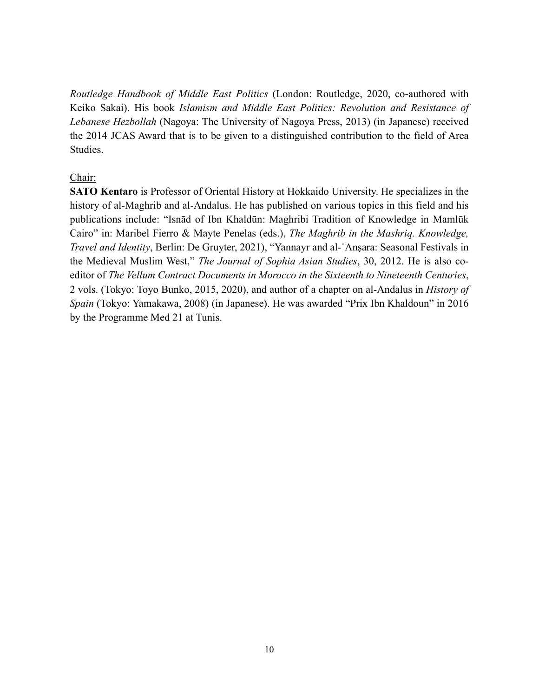*Routledge Handbook of Middle East Politics* (London: Routledge, 2020, co-authored with Keiko Sakai). His book *Islamism and Middle East Politics: Revolution and Resistance of Lebanese Hezbollah* (Nagoya: The University of Nagoya Press, 2013) (in Japanese) received the 2014 JCAS Award that is to be given to a distinguished contribution to the field of Area Studies.

#### Chair:

**SATO Kentaro** is Professor of Oriental History at Hokkaido University. He specializes in the history of al-Maghrib and al-Andalus. He has published on various topics in this field and his publications include: "Isnād of Ibn Khaldūn: Maghribi Tradition of Knowledge in Mamlūk Cairo" in: Maribel Fierro & Mayte Penelas (eds.), *The Maghrib in the Mashriq. Knowledge, Travel and Identity*, Berlin: De Gruyter, 2021), "Yannayr and al-ʿAnṣara: Seasonal Festivals in the Medieval Muslim West," *The Journal of Sophia Asian Studies*, 30, 2012. He is also coeditor of *The Vellum Contract Documents in Morocco in the Sixteenth to Nineteenth Centuries*, 2 vols. (Tokyo: Toyo Bunko, 2015, 2020), and author of a chapter on al-Andalus in *History of Spain* (Tokyo: Yamakawa, 2008) (in Japanese). He was awarded "Prix Ibn Khaldoun" in 2016 by the Programme Med 21 at Tunis.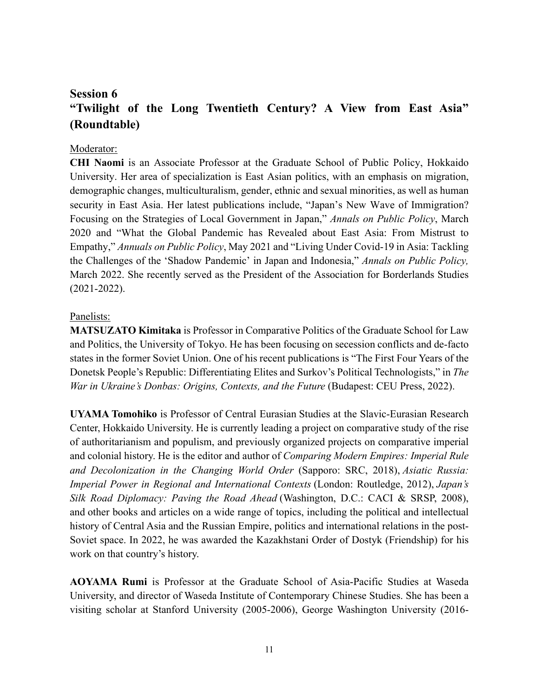# **Session 6 "Twilight of the Long Twentieth Century? A View from East Asia" (Roundtable)**

## Moderator:

**CHI Naomi** is an Associate Professor at the Graduate School of Public Policy, Hokkaido University. Her area of specialization is East Asian politics, with an emphasis on migration, demographic changes, multiculturalism, gender, ethnic and sexual minorities, as well as human security in East Asia. Her latest publications include, "Japan's New Wave of Immigration? Focusing on the Strategies of Local Government in Japan," *Annals on Public Policy*, March 2020 and "What the Global Pandemic has Revealed about East Asia: From Mistrust to Empathy," *Annuals on Public Policy*, May 2021 and "Living Under Covid-19 in Asia: Tackling the Challenges of the 'Shadow Pandemic' in Japan and Indonesia," *Annals on Public Policy,*  March 2022. She recently served as the President of the Association for Borderlands Studies (2021-2022).

## Panelists:

**MATSUZATO Kimitaka** is Professor in Comparative Politics of the Graduate School for Law and Politics, the University of Tokyo. He has been focusing on secession conflicts and de-facto states in the former Soviet Union. One of his recent publications is "The First Four Years of the Donetsk People's Republic: Differentiating Elites and Surkov's Political Technologists," in *The War in Ukraine's Donbas: Origins, Contexts, and the Future* (Budapest: CEU Press, 2022).

**UYAMA Tomohiko** is Professor of Central Eurasian Studies at the Slavic-Eurasian Research Center, Hokkaido University. He is currently leading a project on comparative study of the rise of authoritarianism and populism, and previously organized projects on comparative imperial and colonial history. He is the editor and author of *Comparing Modern Empires: Imperial Rule and Decolonization in the Changing World Order* (Sapporo: SRC, 2018), *Asiatic Russia: Imperial Power in Regional and International Contexts* (London: Routledge, 2012), *Japan's Silk Road Diplomacy: Paving the Road Ahead* (Washington, D.C.: CACI & SRSP, 2008), and other books and articles on a wide range of topics, including the political and intellectual history of Central Asia and the Russian Empire, politics and international relations in the post-Soviet space. In 2022, he was awarded the Kazakhstani Order of Dostyk (Friendship) for his work on that country's history.

**AOYAMA Rumi** is Professor at the Graduate School of Asia-Pacific Studies at Waseda University, and director of Waseda Institute of Contemporary Chinese Studies. She has been a visiting scholar at Stanford University (2005-2006), George Washington University (2016